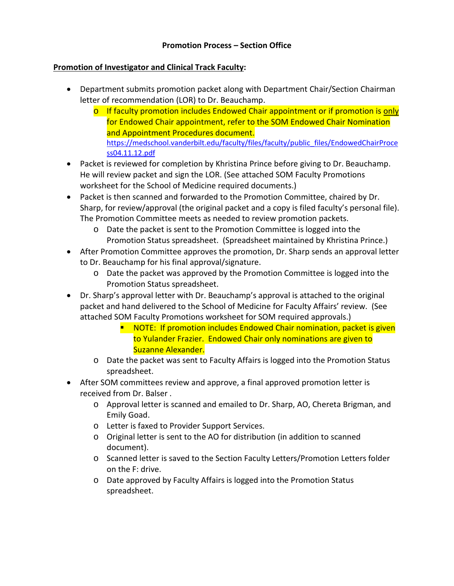## **Promotion Process – Section Office**

## **Promotion of Investigator and Clinical Track Faculty:**

- Department submits promotion packet along with Department Chair/Section Chairman letter of recommendation (LOR) to Dr. Beauchamp.
	- $\circ$  If faculty promotion includes Endowed Chair appointment or if promotion is only for Endowed Chair appointment, refer to the SOM Endowed Chair Nomination and Appointment Procedures document. [https://medschool.vanderbilt.edu/faculty/files/faculty/public\\_files/EndowedChairProce](https://medschool.vanderbilt.edu/faculty/files/faculty/public_files/EndowedChairProcess04.11.12.pdf) [ss04.11.12.pdf](https://medschool.vanderbilt.edu/faculty/files/faculty/public_files/EndowedChairProcess04.11.12.pdf)
- Packet is reviewed for completion by Khristina Prince before giving to Dr. Beauchamp. He will review packet and sign the LOR. (See attached SOM Faculty Promotions worksheet for the School of Medicine required documents.)
- Packet is then scanned and forwarded to the Promotion Committee, chaired by Dr. Sharp, for review/approval (the original packet and a copy is filed faculty's personal file). The Promotion Committee meets as needed to review promotion packets.
	- o Date the packet is sent to the Promotion Committee is logged into the Promotion Status spreadsheet. (Spreadsheet maintained by Khristina Prince.)
- After Promotion Committee approves the promotion, Dr. Sharp sends an approval letter to Dr. Beauchamp for his final approval/signature.
	- o Date the packet was approved by the Promotion Committee is logged into the Promotion Status spreadsheet.
- Dr. Sharp's approval letter with Dr. Beauchamp's approval is attached to the original packet and hand delivered to the School of Medicine for Faculty Affairs' review. (See attached SOM Faculty Promotions worksheet for SOM required approvals.)
	- $\blacksquare$  NOTE: If promotion includes Endowed Chair nomination, packet is given to Yulander Frazier. Endowed Chair only nominations are given to Suzanne Alexander.
	- o Date the packet was sent to Faculty Affairs is logged into the Promotion Status spreadsheet.
- After SOM committees review and approve, a final approved promotion letter is received from Dr. Balser .
	- o Approval letter is scanned and emailed to Dr. Sharp, AO, Chereta Brigman, and Emily Goad.
	- o Letter is faxed to Provider Support Services.
	- o Original letter is sent to the AO for distribution (in addition to scanned document).
	- o Scanned letter is saved to the Section Faculty Letters/Promotion Letters folder on the F: drive.
	- o Date approved by Faculty Affairs is logged into the Promotion Status spreadsheet.